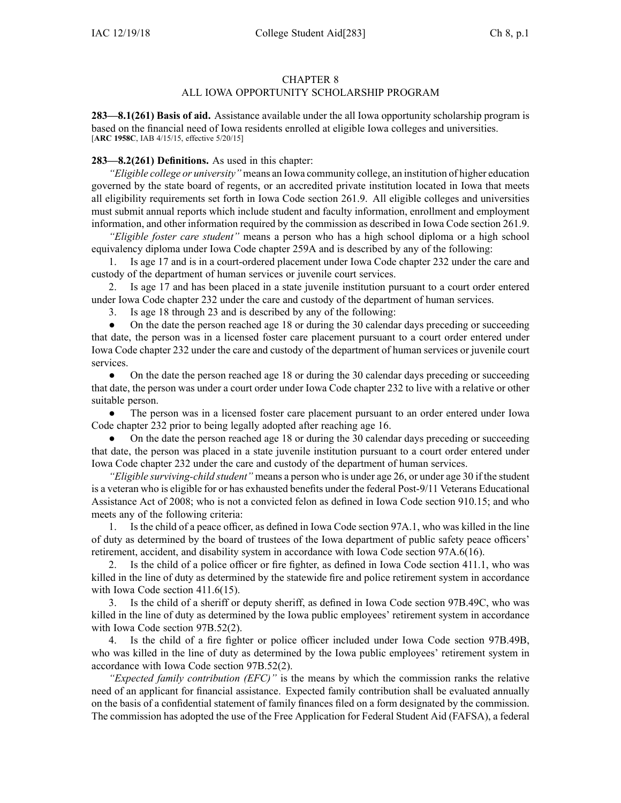# CHAPTER 8

# ALL IOWA OPPORTUNITY SCHOLARSHIP PROGRAM

**283—8.1(261) Basis of aid.** Assistance available under the all Iowa opportunity scholarship program is based on the financial need of Iowa residents enrolled at eligible Iowa colleges and universities. [**ARC [1958C](https://www.legis.iowa.gov/docs/aco/arc/1958C.pdf)**, IAB 4/15/15, effective 5/20/15]

## **283—8.2(261) Definitions.** As used in this chapter:

*"Eligible college or university"* means an Iowa community college, an institution of higher education governed by the state board of regents, or an accredited private institution located in Iowa that meets all eligibility requirements set forth in Iowa Code section [261.9](https://www.legis.iowa.gov/docs/ico/section/261.9.pdf). All eligible colleges and universities must submit annual reports which include student and faculty information, enrollment and employment information, and other information required by the commission as described in Iowa Code section [261.9](https://www.legis.iowa.gov/docs/ico/section/261.9.pdf).

*"Eligible foster care student"* means <sup>a</sup> person who has <sup>a</sup> high school diploma or <sup>a</sup> high school equivalency diploma under Iowa Code chapter [259A](https://www.legis.iowa.gov/docs/ico/chapter/2017/259A.pdf) and is described by any of the following:

1. Is age 17 and is in <sup>a</sup> court-ordered placement under Iowa Code chapter [232](https://www.legis.iowa.gov/docs/ico/chapter/2017/232.pdf) under the care and custody of the department of human services or juvenile court services.

2. Is age 17 and has been placed in <sup>a</sup> state juvenile institution pursuan<sup>t</sup> to <sup>a</sup> court order entered under Iowa Code chapter [232](https://www.legis.iowa.gov/docs/ico/chapter/2017/232.pdf) under the care and custody of the department of human services.

3. Is age 18 through 23 and is described by any of the following:

● On the date the person reached age 18 or during the 30 calendar days preceding or succeeding that date, the person was in <sup>a</sup> licensed foster care placement pursuan<sup>t</sup> to <sup>a</sup> court order entered under Iowa Code chapter [232](https://www.legis.iowa.gov/docs/ico/chapter/2017/232.pdf) under the care and custody of the department of human services or juvenile court services.

● On the date the person reached age 18 or during the 30 calendar days preceding or succeeding that date, the person was under <sup>a</sup> court order under Iowa Code chapter [232](https://www.legis.iowa.gov/docs/ico/chapter/2017/232.pdf) to live with <sup>a</sup> relative or other suitable person.

● The person was in <sup>a</sup> licensed foster care placement pursuan<sup>t</sup> to an order entered under Iowa Code chapter [232](https://www.legis.iowa.gov/docs/ico/chapter/2017/232.pdf) prior to being legally adopted after reaching age 16.

● On the date the person reached age 18 or during the 30 calendar days preceding or succeeding that date, the person was placed in <sup>a</sup> state juvenile institution pursuan<sup>t</sup> to <sup>a</sup> court order entered under Iowa Code chapter [232](https://www.legis.iowa.gov/docs/ico/chapter/2017/232.pdf) under the care and custody of the department of human services.

*"Eligible surviving-child student"* means <sup>a</sup> person who is under age 26, or under age 30 if the student is <sup>a</sup> veteran who is eligible for or has exhausted benefits under the federal Post-9/11 Veterans Educational Assistance Act of 2008; who is not <sup>a</sup> convicted felon as defined in Iowa Code section [910.15](https://www.legis.iowa.gov/docs/ico/section/2018/910.15.pdf); and who meets any of the following criteria:

1. Is the child of <sup>a</sup> peace officer, as defined in Iowa Code section [97A.1](https://www.legis.iowa.gov/docs/ico/section/2018/97A.1.pdf), who was killed in the line of duty as determined by the board of trustees of the Iowa department of public safety peace officers' retirement, accident, and disability system in accordance with Iowa Code section [97A.6\(16\)](https://www.legis.iowa.gov/docs/ico/section/2018/97A.6.pdf).

2. Is the child of <sup>a</sup> police officer or fire fighter, as defined in Iowa Code section [411.1](https://www.legis.iowa.gov/docs/ico/section/2018/411.1.pdf), who was killed in the line of duty as determined by the statewide fire and police retirement system in accordance with Iowa Code section [411.6\(15\)](https://www.legis.iowa.gov/docs/ico/section/2018/411.6.pdf).

3. Is the child of <sup>a</sup> sheriff or deputy sheriff, as defined in Iowa Code section [97B.49C](https://www.legis.iowa.gov/docs/ico/section/2018/97B.49C.pdf), who was killed in the line of duty as determined by the Iowa public employees' retirement system in accordance with Iowa Code section [97B.52\(2\)](https://www.legis.iowa.gov/docs/ico/section/2018/97B.52.pdf).

4. Is the child of <sup>a</sup> fire fighter or police officer included under Iowa Code section [97B.49B](https://www.legis.iowa.gov/docs/ico/section/2018/97B.49B.pdf), who was killed in the line of duty as determined by the Iowa public employees' retirement system in accordance with Iowa Code section [97B.52\(2\)](https://www.legis.iowa.gov/docs/ico/section/2018/97B.52.pdf).

*"Expected family contribution (EFC)"* is the means by which the commission ranks the relative need of an applicant for financial assistance. Expected family contribution shall be evaluated annually on the basis of <sup>a</sup> confidential statement of family finances filed on <sup>a</sup> form designated by the commission. The commission has adopted the use of the Free Application for Federal Student Aid (FAFSA), <sup>a</sup> federal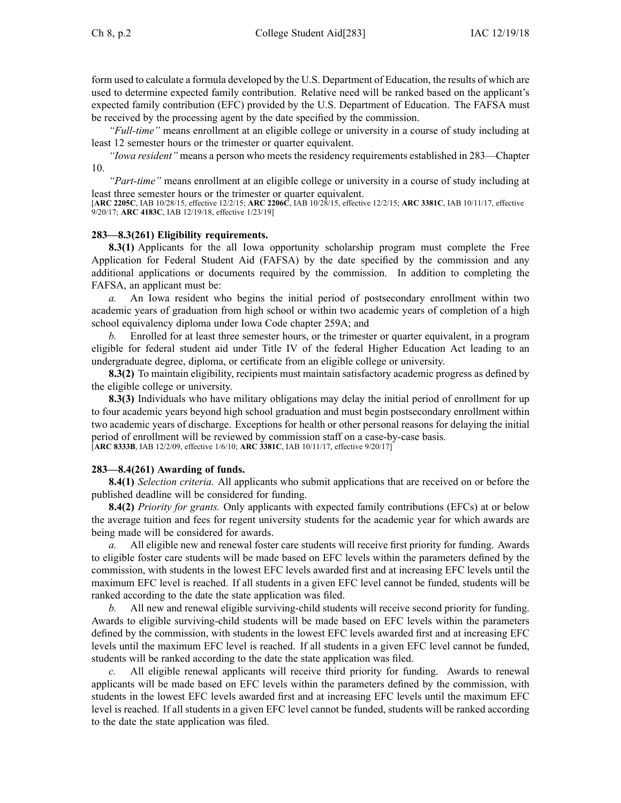form used to calculate <sup>a</sup> formula developed by the U.S. Department of Education, the results of which are used to determine expected family contribution. Relative need will be ranked based on the applicant's expected family contribution (EFC) provided by the U.S. Department of Education. The FAFSA must be received by the processing agen<sup>t</sup> by the date specified by the commission.

*"Full-time"* means enrollment at an eligible college or university in <sup>a</sup> course of study including at least 12 semester hours or the trimester or quarter equivalent.

*"Iowa resident"* means <sup>a</sup> person who meets the residency requirements established in [283—Chapter](https://www.legis.iowa.gov/docs/iac/chapter/283.10.pdf) [10](https://www.legis.iowa.gov/docs/iac/chapter/283.10.pdf).

*"Part-time"* means enrollment at an eligible college or university in <sup>a</sup> course of study including at least three semester hours or the trimester or quarter equivalent.

[**ARC [2205C](https://www.legis.iowa.gov/docs/aco/arc/2205C.pdf)**, IAB 10/28/15, effective 12/2/15; **ARC [2206C](https://www.legis.iowa.gov/docs/aco/arc/2206C.pdf)**, IAB 10/28/15, effective 12/2/15; **ARC [3381C](https://www.legis.iowa.gov/docs/aco/arc/3381C.pdf)**, IAB 10/11/17, effective 9/20/17; **ARC [4183C](https://www.legis.iowa.gov/docs/aco/arc/4183C.pdf)**, IAB 12/19/18, effective 1/23/19]

#### **283—8.3(261) Eligibility requirements.**

**8.3(1)** Applicants for the all Iowa opportunity scholarship program must complete the Free Application for Federal Student Aid (FAFSA) by the date specified by the commission and any additional applications or documents required by the commission. In addition to completing the FAFSA, an applicant must be:

*a.* An Iowa resident who begins the initial period of postsecondary enrollment within two academic years of graduation from high school or within two academic years of completion of <sup>a</sup> high school equivalency diploma under Iowa Code chapter [259A](https://www.legis.iowa.gov/docs/ico/chapter/2017/259A.pdf); and

*b.* Enrolled for at least three semester hours, or the trimester or quarter equivalent, in <sup>a</sup> program eligible for federal student aid under Title IV of the federal Higher Education Act leading to an undergraduate degree, diploma, or certificate from an eligible college or university.

**8.3(2)** To maintain eligibility, recipients must maintain satisfactory academic progress as defined by the eligible college or university.

**8.3(3)** Individuals who have military obligations may delay the initial period of enrollment for up to four academic years beyond high school graduation and must begin postsecondary enrollment within two academic years of discharge. Exceptions for health or other personal reasons for delaying the initial period of enrollment will be reviewed by commission staff on <sup>a</sup> case-by-case basis. [**ARC [8333B](https://www.legis.iowa.gov/docs/aco/arc/8333B.pdf)**, IAB 12/2/09, effective 1/6/10; **ARC [3381C](https://www.legis.iowa.gov/docs/aco/arc/3381C.pdf)**, IAB 10/11/17, effective 9/20/17]

### **283—8.4(261) Awarding of funds.**

**8.4(1)** *Selection criteria.* All applicants who submit applications that are received on or before the published deadline will be considered for funding.

**8.4(2)** *Priority for grants.* Only applicants with expected family contributions (EFCs) at or below the average tuition and fees for regen<sup>t</sup> university students for the academic year for which awards are being made will be considered for awards.

*a.* All eligible new and renewal foster care students will receive first priority for funding. Awards to eligible foster care students will be made based on EFC levels within the parameters defined by the commission, with students in the lowest EFC levels awarded first and at increasing EFC levels until the maximum EFC level is reached. If all students in <sup>a</sup> given EFC level cannot be funded, students will be ranked according to the date the state application was filed.

*b.* All new and renewal eligible surviving-child students will receive second priority for funding. Awards to eligible surviving-child students will be made based on EFC levels within the parameters defined by the commission, with students in the lowest EFC levels awarded first and at increasing EFC levels until the maximum EFC level is reached. If all students in <sup>a</sup> given EFC level cannot be funded, students will be ranked according to the date the state application was filed.

All eligible renewal applicants will receive third priority for funding. Awards to renewal applicants will be made based on EFC levels within the parameters defined by the commission, with students in the lowest EFC levels awarded first and at increasing EFC levels until the maximum EFC level is reached. If all students in <sup>a</sup> given EFC level cannot be funded, students will be ranked according to the date the state application was filed.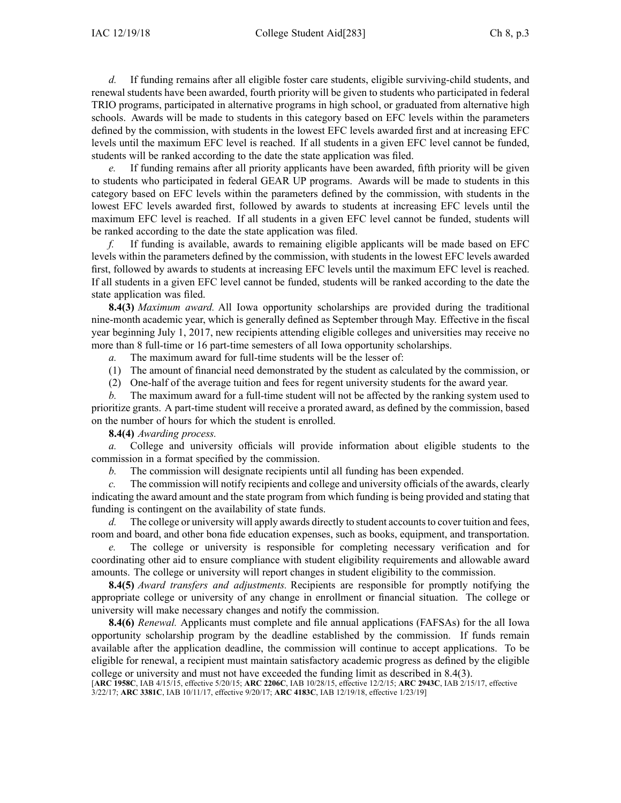*d.* If funding remains after all eligible foster care students, eligible surviving-child students, and renewal students have been awarded, fourth priority will be given to students who participated in federal TRIO programs, participated in alternative programs in high school, or graduated from alternative high schools. Awards will be made to students in this category based on EFC levels within the parameters defined by the commission, with students in the lowest EFC levels awarded first and at increasing EFC levels until the maximum EFC level is reached. If all students in <sup>a</sup> given EFC level cannot be funded, students will be ranked according to the date the state application was filed.

If funding remains after all priority applicants have been awarded, fifth priority will be given to students who participated in federal GEAR UP programs. Awards will be made to students in this category based on EFC levels within the parameters defined by the commission, with students in the lowest EFC levels awarded first, followed by awards to students at increasing EFC levels until the maximum EFC level is reached. If all students in <sup>a</sup> given EFC level cannot be funded, students will be ranked according to the date the state application was filed.

*f.* If funding is available, awards to remaining eligible applicants will be made based on EFC levels within the parameters defined by the commission, with students in the lowest EFC levels awarded first, followed by awards to students at increasing EFC levels until the maximum EFC level is reached. If all students in <sup>a</sup> given EFC level cannot be funded, students will be ranked according to the date the state application was filed.

**8.4(3)** *Maximum award.* All Iowa opportunity scholarships are provided during the traditional nine-month academic year, which is generally defined as September through May. Effective in the fiscal year beginning July 1, 2017, new recipients attending eligible colleges and universities may receive no more than 8 full-time or 16 part-time semesters of all Iowa opportunity scholarships.

*a.* The maximum award for full-time students will be the lesser of:

(1) The amount of financial need demonstrated by the student as calculated by the commission, or

(2) One-half of the average tuition and fees for regen<sup>t</sup> university students for the award year.

*b.* The maximum award for <sup>a</sup> full-time student will not be affected by the ranking system used to prioritize grants. A part-time student will receive <sup>a</sup> prorated award, as defined by the commission, based on the number of hours for which the student is enrolled.

**8.4(4)** *Awarding process.*

*a.* College and university officials will provide information about eligible students to the commission in <sup>a</sup> format specified by the commission.

*b.* The commission will designate recipients until all funding has been expended.

*c.* The commission will notify recipients and college and university officials of the awards, clearly indicating the award amount and the state program from which funding is being provided and stating that funding is contingent on the availability of state funds.

*d.* The college or university will apply awards directly to student accounts to cover tuition and fees, room and board, and other bona fide education expenses, such as books, equipment, and transportation.

*e.* The college or university is responsible for completing necessary verification and for coordinating other aid to ensure compliance with student eligibility requirements and allowable award amounts. The college or university will repor<sup>t</sup> changes in student eligibility to the commission.

**8.4(5)** *Award transfers and adjustments.* Recipients are responsible for promptly notifying the appropriate college or university of any change in enrollment or financial situation. The college or university will make necessary changes and notify the commission.

**8.4(6)** *Renewal.* Applicants must complete and file annual applications (FAFSAs) for the all Iowa opportunity scholarship program by the deadline established by the commission. If funds remain available after the application deadline, the commission will continue to accep<sup>t</sup> applications. To be eligible for renewal, <sup>a</sup> recipient must maintain satisfactory academic progress as defined by the eligible college or university and must not have exceeded the funding limit as described in [8.4\(3\)](https://www.legis.iowa.gov/docs/iac/rule/283.8.4.pdf).

[**ARC [1958C](https://www.legis.iowa.gov/docs/aco/arc/1958C.pdf)**, IAB 4/15/15, effective 5/20/15; **ARC [2206C](https://www.legis.iowa.gov/docs/aco/arc/2206C.pdf)**, IAB 10/28/15, effective 12/2/15; **ARC [2943C](https://www.legis.iowa.gov/docs/aco/arc/2943C.pdf)**, IAB 2/15/17, effective 3/22/17; **ARC [3381C](https://www.legis.iowa.gov/docs/aco/arc/3381C.pdf)**, IAB 10/11/17, effective 9/20/17; **ARC [4183C](https://www.legis.iowa.gov/docs/aco/arc/4183C.pdf)**, IAB 12/19/18, effective 1/23/19]